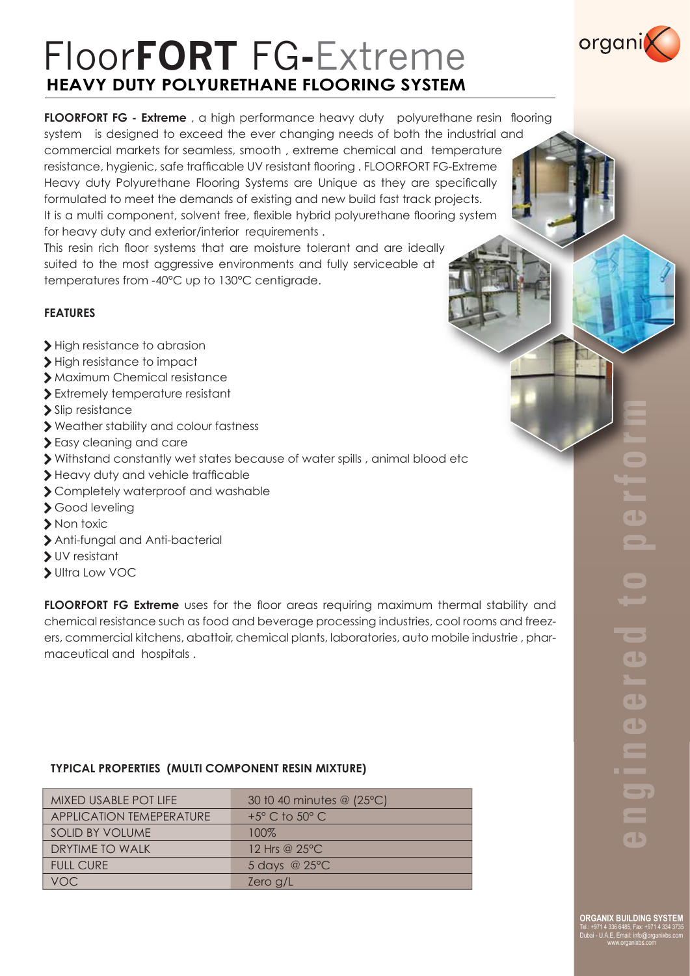# Floor**FORT** FG**-**Extreme **HEAVY DUTY POLYURETHANE FLOORING SYSTEM**

**FLOORFORT FG - Extreme**, a high performance heavy duty polyurethane resin flooring system is designed to exceed the ever changing needs of both the industrial and commercial markets for seamless, smooth , extreme chemical and temperature resistance, hygienic, safe trafficable UV resistant flooring . FLOORFORT FG-Extreme Heavy duty Polyurethane Flooring Systems are Unique as they are specifically formulated to meet the demands of existing and new build fast track projects. It is a multi component, solvent free, flexible hybrid polyurethane flooring system for heavy duty and exterior/interior requirements .

This resin rich floor systems that are moisture tolerant and are ideally suited to the most aggressive environments and fully serviceable at temperatures from -40°C up to 130°C centigrade.

# **FEATURES**

- > High resistance to abrasion
- > High resistance to impact
- > Maximum Chemical resistance
- > Extremely temperature resistant
- > Slip resistance
- > Weather stability and colour fastness
- > Easy cleaning and care
- > Withstand constantly wet states because of water spills , animal blood etc
- > Heavy duty and vehicle trafficable
- > Completely waterproof and washable
- > Good leveling
- > Non toxic
- > Anti-fungal and Anti-bacterial
- > UV resistant
- > Ultra Low VOC

**FLOORFORT FG Extreme** uses for the floor areas requiring maximum thermal stability and chemical resistance such as food and beverage processing industries, cool rooms and freezers, commercial kitchens, abattoir, chemical plants, laboratories, auto mobile industrie , pharmaceutical and hospitals .

## **TYPICAL PROPERTIES (MULTI COMPONENT RESIN MIXTURE)**

| MIXED USABLE POT LIFE    | 30 t0 40 minutes @ (25°C)        |  |
|--------------------------|----------------------------------|--|
| APPLICATION TEMEPERATURE | $+5^{\circ}$ C to $50^{\circ}$ C |  |
| <b>SOLID BY VOLUME</b>   | 100%                             |  |
| DRYTIME TO WALK          | 12 Hrs @ 25°C                    |  |
| <b>FULL CURE</b>         | 5 days @ 25°C                    |  |
| VOC                      | Zero g/L                         |  |

**ORGANIX BUILDING SYSTEM** Tel.: +971 4 336 6485, Fax: +971 4 334 3735 Dubai - U.A.E, Email: info@organixbs.com www.organixbs.com